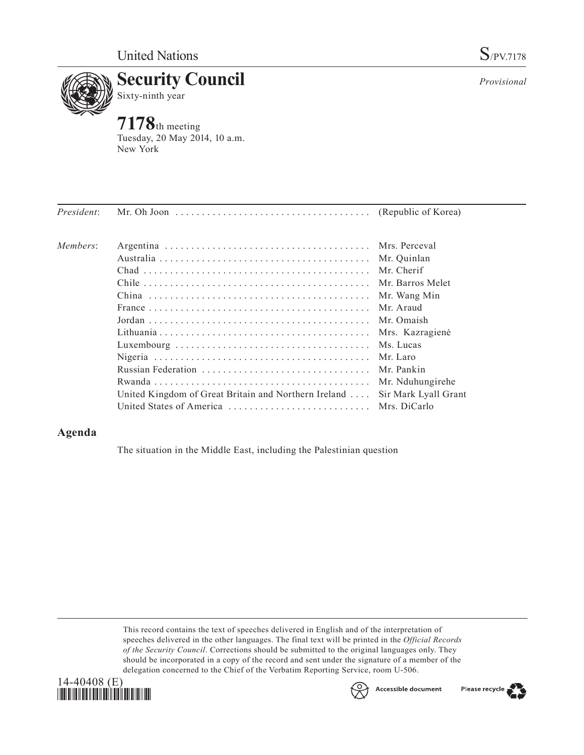

*Provisional*



**7178**th meeting Tuesday, 20 May 2014, 10 a.m. New York

| President: |                                                                            |                  |
|------------|----------------------------------------------------------------------------|------------------|
| Members:   |                                                                            |                  |
|            |                                                                            |                  |
|            |                                                                            |                  |
|            |                                                                            |                  |
|            |                                                                            | Mr. Wang Min     |
|            |                                                                            | Mr Araud         |
|            |                                                                            |                  |
|            |                                                                            |                  |
|            |                                                                            | Ms. Lucas        |
|            |                                                                            |                  |
|            |                                                                            |                  |
|            |                                                                            | Mr. Nduhungirehe |
|            | United Kingdom of Great Britain and Northern Ireland  Sir Mark Lyall Grant |                  |
|            |                                                                            |                  |

## **Agenda**

The situation in the Middle East, including the Palestinian question

This record contains the text of speeches delivered in English and of the interpretation of speeches delivered in the other languages. The final text will be printed in the *Official Records of the Security Council*. Corrections should be submitted to the original languages only. They should be incorporated in a copy of the record and sent under the signature of a member of the delegation concerned to the Chief of the Verbatim Reporting Service, room U-506.





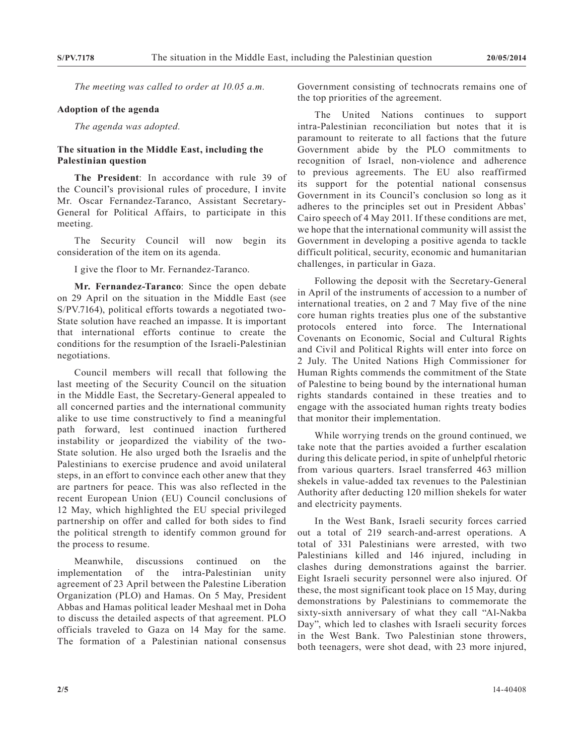*The meeting was called to order at 10.05 a.m.*

## **Adoption of the agenda**

*The agenda was adopted.*

## **The situation in the Middle East, including the Palestinian question**

**The President**: In accordance with rule 39 of the Council's provisional rules of procedure, I invite Mr. Oscar Fernandez-Taranco, Assistant Secretary-General for Political Affairs, to participate in this meeting.

The Security Council will now begin its consideration of the item on its agenda.

I give the floor to Mr. Fernandez-Taranco.

**Mr. Fernandez-Taranco**: Since the open debate on 29 April on the situation in the Middle East (see S/PV.7164), political efforts towards a negotiated two-State solution have reached an impasse. It is important that international efforts continue to create the conditions for the resumption of the Israeli-Palestinian negotiations.

Council members will recall that following the last meeting of the Security Council on the situation in the Middle East, the Secretary-General appealed to all concerned parties and the international community alike to use time constructively to find a meaningful path forward, lest continued inaction furthered instability or jeopardized the viability of the two-State solution. He also urged both the Israelis and the Palestinians to exercise prudence and avoid unilateral steps, in an effort to convince each other anew that they are partners for peace. This was also reflected in the recent European Union (EU) Council conclusions of 12 May, which highlighted the EU special privileged partnership on offer and called for both sides to find the political strength to identify common ground for the process to resume.

Meanwhile, discussions continued on the implementation of the intra-Palestinian unity agreement of 23 April between the Palestine Liberation Organization (PLO) and Hamas. On 5 May, President Abbas and Hamas political leader Meshaal met in Doha to discuss the detailed aspects of that agreement. PLO officials traveled to Gaza on 14 May for the same. The formation of a Palestinian national consensus Government consisting of technocrats remains one of the top priorities of the agreement.

The United Nations continues to support intra-Palestinian reconciliation but notes that it is paramount to reiterate to all factions that the future Government abide by the PLO commitments to recognition of Israel, non-violence and adherence to previous agreements. The EU also reaffirmed its support for the potential national consensus Government in its Council's conclusion so long as it adheres to the principles set out in President Abbas' Cairo speech of 4 May 2011. If these conditions are met, we hope that the international community will assist the Government in developing a positive agenda to tackle difficult political, security, economic and humanitarian challenges, in particular in Gaza.

Following the deposit with the Secretary-General in April of the instruments of accession to a number of international treaties, on 2 and 7 May five of the nine core human rights treaties plus one of the substantive protocols entered into force. The International Covenants on Economic, Social and Cultural Rights and Civil and Political Rights will enter into force on 2 July. The United Nations High Commissioner for Human Rights commends the commitment of the State of Palestine to being bound by the international human rights standards contained in these treaties and to engage with the associated human rights treaty bodies that monitor their implementation.

While worrying trends on the ground continued, we take note that the parties avoided a further escalation during this delicate period, in spite of unhelpful rhetoric from various quarters. Israel transferred 463 million shekels in value-added tax revenues to the Palestinian Authority after deducting 120 million shekels for water and electricity payments.

In the West Bank, Israeli security forces carried out a total of 219 search-and-arrest operations. A total of 331 Palestinians were arrested, with two Palestinians killed and 146 injured, including in clashes during demonstrations against the barrier. Eight Israeli security personnel were also injured. Of these, the most significant took place on 15 May, during demonstrations by Palestinians to commemorate the sixty-sixth anniversary of what they call "Al-Nakba Day", which led to clashes with Israeli security forces in the West Bank. Two Palestinian stone throwers, both teenagers, were shot dead, with 23 more injured,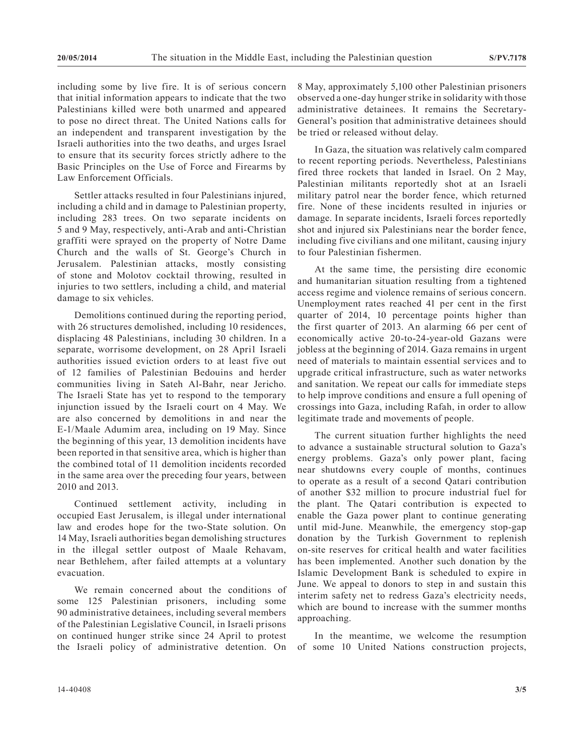including some by live fire. It is of serious concern that initial information appears to indicate that the two Palestinians killed were both unarmed and appeared to pose no direct threat. The United Nations calls for an independent and transparent investigation by the Israeli authorities into the two deaths, and urges Israel to ensure that its security forces strictly adhere to the Basic Principles on the Use of Force and Firearms by Law Enforcement Officials.

Settler attacks resulted in four Palestinians injured, including a child and in damage to Palestinian property, including 283 trees. On two separate incidents on 5 and 9 May, respectively, anti-Arab and anti-Christian graffiti were sprayed on the property of Notre Dame Church and the walls of St. George's Church in Jerusalem. Palestinian attacks, mostly consisting of stone and Molotov cocktail throwing, resulted in injuries to two settlers, including a child, and material damage to six vehicles.

Demolitions continued during the reporting period, with 26 structures demolished, including 10 residences, displacing 48 Palestinians, including 30 children. In a separate, worrisome development, on 28 Apri1 Israeli authorities issued eviction orders to at least five out of 12 families of Palestinian Bedouins and herder communities living in Sateh Al-Bahr, near Jericho. The Israeli State has yet to respond to the temporary injunction issued by the Israeli court on 4 May. We are also concerned by demolitions in and near the E-1/Maale Adumim area, including on 19 May. Since the beginning of this year, 13 demolition incidents have been reported in that sensitive area, which is higher than the combined total of 11 demolition incidents recorded in the same area over the preceding four years, between 2010 and 2013.

Continued settlement activity, including in occupied East Jerusalem, is illegal under international law and erodes hope for the two-State solution. On 14 May, Israeli authorities began demolishing structures in the illegal settler outpost of Maale Rehavam, near Bethlehem, after failed attempts at a voluntary evacuation.

We remain concerned about the conditions of some 125 Palestinian prisoners, including some 90 administrative detainees, including several members of the Palestinian Legislative Council, in Israeli prisons on continued hunger strike since 24 April to protest the Israeli policy of administrative detention. On

8 May, approximately 5,100 other Palestinian prisoners observed a one-day hunger strike in solidarity with those administrative detainees. It remains the Secretary-General's position that administrative detainees should be tried or released without delay.

In Gaza, the situation was relatively calm compared to recent reporting periods. Nevertheless, Palestinians fired three rockets that landed in Israel. On 2 May, Palestinian militants reportedly shot at an Israeli military patrol near the border fence, which returned fire. None of these incidents resulted in injuries or damage. In separate incidents, Israeli forces reportedly shot and injured six Palestinians near the border fence, including five civilians and one militant, causing injury to four Palestinian fishermen.

At the same time, the persisting dire economic and humanitarian situation resulting from a tightened access regime and violence remains of serious concern. Unemployment rates reached 41 per cent in the first quarter of 2014, 10 percentage points higher than the first quarter of 2013. An alarming 66 per cent of economically active 20-to-24-year-old Gazans were jobless at the beginning of 2014. Gaza remains in urgent need of materials to maintain essential services and to upgrade critical infrastructure, such as water networks and sanitation. We repeat our calls for immediate steps to help improve conditions and ensure a full opening of crossings into Gaza, including Rafah, in order to allow legitimate trade and movements of people.

The current situation further highlights the need to advance a sustainable structural solution to Gaza's energy problems. Gaza's only power plant, facing near shutdowns every couple of months, continues to operate as a result of a second Qatari contribution of another \$32 million to procure industrial fuel for the plant. The Qatari contribution is expected to enable the Gaza power plant to continue generating until mid-June. Meanwhile, the emergency stop-gap donation by the Turkish Government to replenish on-site reserves for critical health and water facilities has been implemented. Another such donation by the Islamic Development Bank is scheduled to expire in June. We appeal to donors to step in and sustain this interim safety net to redress Gaza's electricity needs, which are bound to increase with the summer months approaching.

In the meantime, we welcome the resumption of some 10 United Nations construction projects,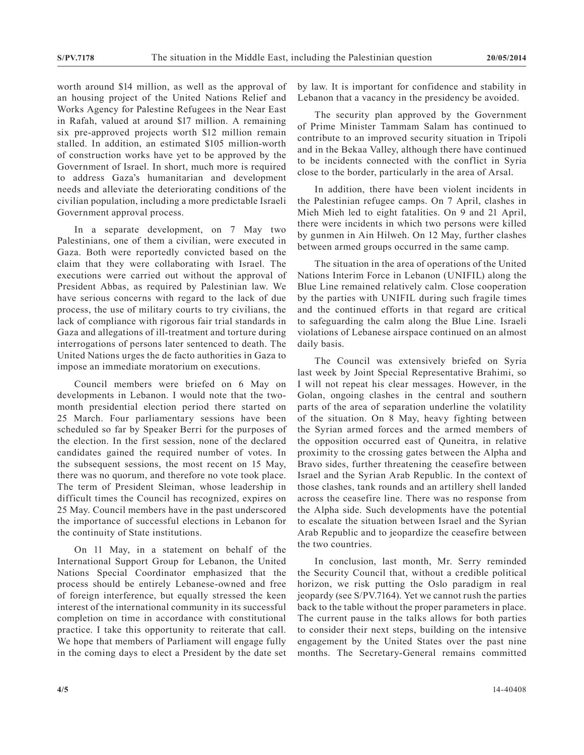worth around \$14 million, as well as the approval of an housing project of the United Nations Relief and Works Agency for Palestine Refugees in the Near East in Rafah, valued at around \$17 million. A remaining six pre-approved projects worth \$12 million remain stalled. In addition, an estimated \$105 million-worth of construction works have yet to be approved by the Government of Israel. In short, much more is required to address Gaza's humanitarian and development needs and alleviate the deteriorating conditions of the civilian population, including a more predictable Israeli Government approval process.

In a separate development, on 7 May two Palestinians, one of them a civilian, were executed in Gaza. Both were reportedly convicted based on the claim that they were collaborating with Israel. The executions were carried out without the approval of President Abbas, as required by Palestinian law. We have serious concerns with regard to the lack of due process, the use of military courts to try civilians, the lack of compliance with rigorous fair trial standards in Gaza and allegations of ill-treatment and torture during interrogations of persons later sentenced to death. The United Nations urges the de facto authorities in Gaza to impose an immediate moratorium on executions.

Council members were briefed on 6 May on developments in Lebanon. I would note that the twomonth presidential election period there started on 25 March. Four parliamentary sessions have been scheduled so far by Speaker Berri for the purposes of the election. In the first session, none of the declared candidates gained the required number of votes. In the subsequent sessions, the most recent on 15 May, there was no quorum, and therefore no vote took place. The term of President Sleiman, whose leadership in difficult times the Council has recognized, expires on 25 May. Council members have in the past underscored the importance of successful elections in Lebanon for the continuity of State institutions.

On 11 May, in a statement on behalf of the International Support Group for Lebanon, the United Nations Special Coordinator emphasized that the process should be entirely Lebanese-owned and free of foreign interference, but equally stressed the keen interest of the international community in its successful completion on time in accordance with constitutional practice. I take this opportunity to reiterate that call. We hope that members of Parliament will engage fully in the coming days to elect a President by the date set by law. It is important for confidence and stability in Lebanon that a vacancy in the presidency be avoided.

The security plan approved by the Government of Prime Minister Tammam Salam has continued to contribute to an improved security situation in Tripoli and in the Bekaa Valley, although there have continued to be incidents connected with the conflict in Syria close to the border, particularly in the area of Arsal.

In addition, there have been violent incidents in the Palestinian refugee camps. On 7 April, clashes in Mieh Mieh led to eight fatalities. On 9 and 21 April, there were incidents in which two persons were killed by gunmen in Ain Hilweh. On 12 May, further clashes between armed groups occurred in the same camp.

The situation in the area of operations of the United Nations Interim Force in Lebanon (UNIFIL) along the Blue Line remained relatively calm. Close cooperation by the parties with UNIFIL during such fragile times and the continued efforts in that regard are critical to safeguarding the calm along the Blue Line. Israeli violations of Lebanese airspace continued on an almost daily basis.

The Council was extensively briefed on Syria last week by Joint Special Representative Brahimi, so I will not repeat his clear messages. However, in the Golan, ongoing clashes in the central and southern parts of the area of separation underline the volatility of the situation. On 8 May, heavy fighting between the Syrian armed forces and the armed members of the opposition occurred east of Quneitra, in relative proximity to the crossing gates between the Alpha and Bravo sides, further threatening the ceasefire between Israel and the Syrian Arab Republic. In the context of those clashes, tank rounds and an artillery shell landed across the ceasefire line. There was no response from the Alpha side. Such developments have the potential to escalate the situation between Israel and the Syrian Arab Republic and to jeopardize the ceasefire between the two countries.

In conclusion, last month, Mr. Serry reminded the Security Council that, without a credible political horizon, we risk putting the Oslo paradigm in real jeopardy (see S/PV.7164). Yet we cannot rush the parties back to the table without the proper parameters in place. The current pause in the talks allows for both parties to consider their next steps, building on the intensive engagement by the United States over the past nine months. The Secretary-General remains committed